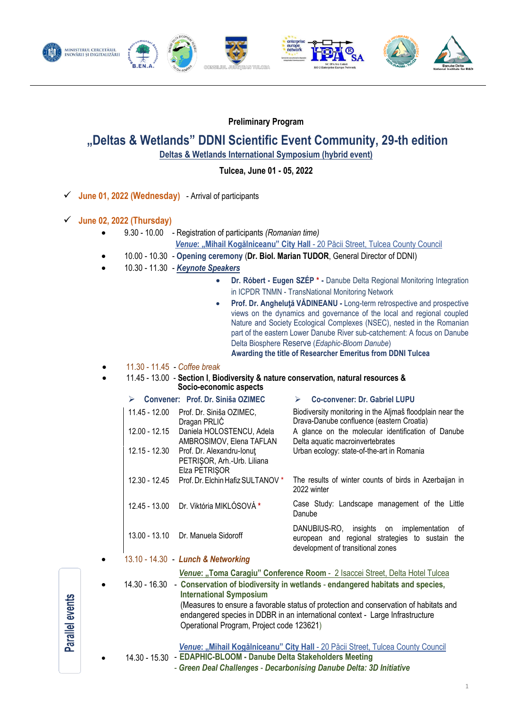

### **Preliminary Program**

# **"Deltas & Wetlands" DDNI Scientific Event Community, 29-th edition Deltas & Wetlands International Symposium (hybrid event)**

**Tulcea, June 01 - 05, 2022**

- **June 01, 2022 (Wednesday)** Arrival of participants
- **June 02, 2022 (Thursday)**
	- 9.30 10.00 Registration of participants *(Romanian time)* **Venue: "Mihail Kogălniceanu" City Hall - 20 Păcii Street, Tulcea County Council**
	- 10.00 10.30 **Opening ceremony** (**Dr. Biol. Marian TUDOR**, General Director of DDNI)
	- 10.30 11.30 *Keynote Speakers* 
		- **Dr. Róbert - Eugen SZÉP \* -** Danube Delta Regional Monitoring Integration in ICPDR TNMN - TransNational Monitoring Network
		- **Prof. Dr. Angheluţă VĂDINEANU -** Long-term retrospective and prospective views on the dynamics and governance of the local and regional coupled Nature and Society Ecological Complexes (NSEC), nested in the Romanian part of the eastern Lower Danube River sub-catchement: A focus on Danube Delta Biosphere Reserve (*Edaphic-Bloom Danube*)

 **Awarding the title of Researcher Emeritus from DDNI Tulcea**

- 11.30 11.45 *Coffee break*
- 11.45 13.00 **Section I**, **Biodiversity & nature conservation, natural resources & Socio-economic aspects**

|               | Convener: Prof. Dr. Siniša OZIMEC                                         | <b>Co-convener: Dr. Gabriel LUPU</b>                                                                                                        |
|---------------|---------------------------------------------------------------------------|---------------------------------------------------------------------------------------------------------------------------------------------|
| 11.45 - 12.00 | Prof. Dr. Siniša OZIMEC,<br>Dragan PRLIĆ                                  | Biodiversity monitoring in the Aljmaš floodplain near the<br>Drava-Danube confluence (eastern Croatia)                                      |
| 12.00 - 12.15 | Daniela HOLOSTENCU, Adela<br>AMBROSIMOV, Elena TAFLAN                     | A glance on the molecular identification of Danube<br>Delta aquatic macroinvertebrates                                                      |
| 12.15 - 12.30 | Prof. Dr. Alexandru-Ionut<br>PETRISOR, Arh.-Urb. Liliana<br>Elza PETRIŞOR | Urban ecology: state-of-the-art in Romania                                                                                                  |
| 12.30 - 12.45 | Prof. Dr. Elchin Hafiz SULTANOV *                                         | The results of winter counts of birds in Azerbaijan in<br>2022 winter                                                                       |
|               | 12.45 - 13.00 Dr. Viktória MIKLÓSOVÁ *                                    | Case Study: Landscape management of the Little<br>Danube                                                                                    |
| 13.00 - 13.10 | Dr. Manuela Sidoroff                                                      | insights on<br>DANUBIUS-RO.<br>implementation<br>Ωf<br>european and regional strategies to sustain the<br>development of transitional zones |

13.10 - 14.30 - *Lunch & Networking*

**Venue: "Toma Caragiu" Conference Room - 2 Isaccei Street, Delta Hotel Tulcea** 

- 14.30 16.30 **Conservation of biodiversity in wetlands endangered habitats and species, International Symposium** (Measures to ensure a favorable status of protection and conservation of habitats and endangered species in DDBR in an international context - Large Infrastructure Operational Program, Project code 123621)
	- Venue: "Mihail Kogălniceanu" City Hall 20 Păcii Street, Tulcea County Council
- - 14.30 15.30 **EDAPHIC-BLOOM - Danube Delta Stakeholders Meeting** - *Green Deal Challenges - Decarbonising Danube Delta: 3D Initiative*
- Parallel events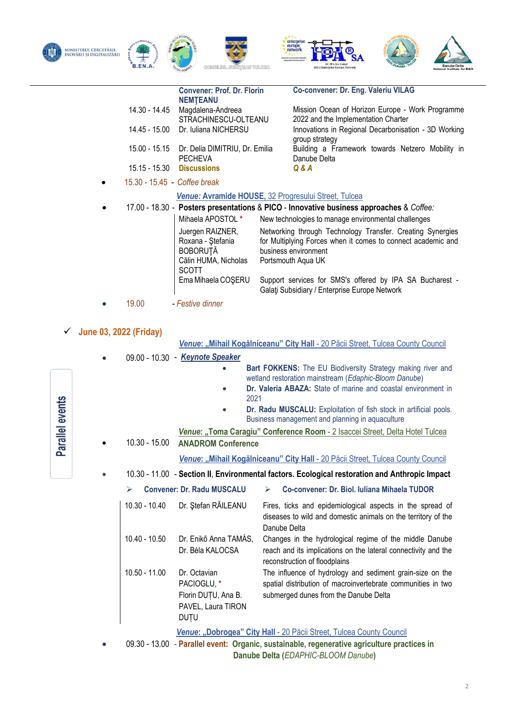









|       | <b>Convener: Prof. Dr. Florin</b><br><b>NEMTEANU</b>                                             |                      | <b>Co-convener: Dr. Eng. Valeriu VILAG</b>                                                                                                                               |  |
|-------|--------------------------------------------------------------------------------------------------|----------------------|--------------------------------------------------------------------------------------------------------------------------------------------------------------------------|--|
|       | Magdalena-Andreea<br>14.30 - 14.45                                                               | STRACHINESCU-OLTEANU | Mission Ocean of Horizon Europe - Work Programme<br>2022 and the Implementation Charter                                                                                  |  |
|       | Dr. Iuliana NICHERSU<br>14.45 - 15.00                                                            |                      | Innovations in Regional Decarbonisation - 3D Working<br>group strategy                                                                                                   |  |
|       | 15.00 - 15.15 Dr. Delia DIMITRIU, Dr. Emilia<br><b>PECHEVA</b>                                   |                      | Building a Framework towards Netzero Mobility in<br>Danube Delta                                                                                                         |  |
|       | 15.15 - 15.30 <b>Discussions</b>                                                                 |                      | Q & A                                                                                                                                                                    |  |
|       | 15.30 - 15.45 - Coffee break                                                                     |                      |                                                                                                                                                                          |  |
|       |                                                                                                  |                      | Venue: Avramide HOUSE, 32 Progresului Street, Tulcea                                                                                                                     |  |
|       |                                                                                                  |                      | 17.00 - 18.30 - Posters presentations & PICO - Innovative business approaches & Coffee:                                                                                  |  |
|       | Mihaela APOSTOL *                                                                                |                      | New technologies to manage environmental challenges                                                                                                                      |  |
|       | Juergen RAIZNER,<br>Roxana - Ștefania<br><b>BOBORUTĂ</b><br>Călin HUMA, Nicholas<br><b>SCOTT</b> |                      | Networking through Technology Transfer. Creating Synergies<br>for Multiplying Forces when it comes to connect academic and<br>business environment<br>Portsmouth Aqua UK |  |
|       | Ema Mihaela COSERU                                                                               |                      | Support services for SMS's offered by IPA SA Bucharest -<br>Galati Subsidiary / Enterprise Europe Network                                                                |  |
| 19.00 | - Festive dinner                                                                                 |                      |                                                                                                                                                                          |  |

# **June 03, 2022 (Friday)**

Parallel events

## **Venue: "Mihail Kogălniceanu" City Hall - 20 Păcii Street, Tulcea County Council**

|                 | 09.00 - 10.30 - Keynote Speaker                                                         |                                                                                                                                                                    |
|-----------------|-----------------------------------------------------------------------------------------|--------------------------------------------------------------------------------------------------------------------------------------------------------------------|
|                 |                                                                                         | <b>Bart FOKKENS:</b> The EU Biodiversity Strategy making river and                                                                                                 |
|                 |                                                                                         | wetland restoration mainstream (Edaphic-Bloom Danube)                                                                                                              |
|                 |                                                                                         | Dr. Valeria ABAZA: State of marine and coastal environment in                                                                                                      |
|                 | 2021                                                                                    |                                                                                                                                                                    |
|                 |                                                                                         | Dr. Radu MUSCALU: Exploitation of fish stock in artificial pools.<br>Business management and planning in aquaculture                                               |
|                 |                                                                                         | Venue: "Toma Caragiu" Conference Room - 2 Isaccei Street, Delta Hotel Tulcea                                                                                       |
| $10.30 - 15.00$ | <b>ANADROM Conference</b>                                                               |                                                                                                                                                                    |
|                 |                                                                                         | Venue: "Mihail Kogălniceanu" City Hall - 20 Păcii Street, Tulcea County Council                                                                                    |
|                 |                                                                                         | 10.30 - 11.00 - Section II, Environmental factors. Ecological restoration and Anthropic Impact                                                                     |
| ⋗               | <b>Convener: Dr. Radu MUSCALU</b>                                                       | Co-convener: Dr. Biol. Iuliana Mihaela TUDOR<br>⋗                                                                                                                  |
| $10.30 - 10.40$ | Dr. Ştefan RAILEANU                                                                     | Fires, ticks and epidemiological aspects in the spread of<br>diseases to wild and domestic animals on the territory of the<br>Danube Delta                         |
| $10.40 - 10.50$ | Dr. Enikő Anna TAMÁS,<br>Dr. Béla KALOCSA                                               | Changes in the hydrological regime of the middle Danube<br>reach and its implications on the lateral connectivity and the<br>reconstruction of floodplains         |
| $10.50 - 11.00$ | Dr. Octavian<br>PACIOGLU, *<br>Florin DUȚU, Ana B.<br>PAVEL, Laura TIRON<br><b>DUTU</b> | The influence of hydrology and sediment grain-size on the<br>spatial distribution of macroinvertebrate communities in two<br>submerged dunes from the Danube Delta |
|                 |                                                                                         | Venue: "Dobrogea" City Hall - 20 Păcii Street, Tulcea County Council                                                                                               |
|                 |                                                                                         | 09.30 - 13.00 - Parallel event: Organic, sustainable, regenerative agriculture practices in                                                                        |
|                 |                                                                                         | Danube Delta (EDAPHIC-BLOOM Danube)                                                                                                                                |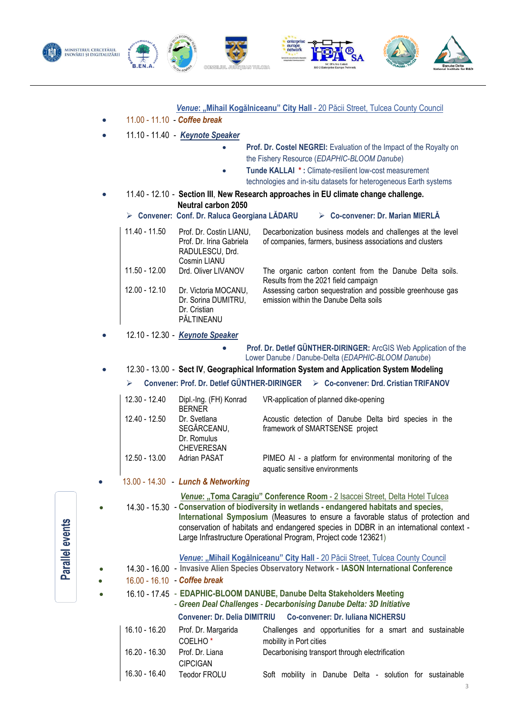









**Venue: "Mihail Kogălniceanu" City Hall - 20 Păcii Street, Tulcea County Council** 

- 11.00 11.10 *Coffee break*
- 11.10 11.40 *Keynote Speaker* 
	- **Prof. Dr. Costel NEGREI:** Evaluation of the Impact of the Royalty on the Fishery Resource (*EDAPHIC-BLOOM Danube*)
	- **Tunde KALLAI \* :** Climate-resilient low-cost measurement technologies and in-situ datasets for heterogeneous Earth systems
- 11.40 12.10 **Section III**,**:New Research approaches in EU climate change challenge. Neutral carbon 2050 Convener: Conf. Dr. Raluca Georgiana LĂDARU Co-convener: Dr. Marian MIERLĂ**

|                 | $\sim$ Convenct. Com. Dr. Natuca Occi giana LADANO                                     | <b>2 CU-CUITERTE DE MAILANT MILITER</b>                                                                                  |
|-----------------|----------------------------------------------------------------------------------------|--------------------------------------------------------------------------------------------------------------------------|
| 11.40 - 11.50   | Prof. Dr. Costin LIANU,<br>Prof. Dr. Irina Gabriela<br>RADULESCU, Drd.<br>Cosmin LIANU | Decarbonization business models and challenges at the level<br>of companies, farmers, business associations and clusters |
| $11.50 - 12.00$ | Drd. Oliver LIVANOV                                                                    | The organic carbon content from the Danube Delta soils.<br>Results from the 2021 field campaign                          |
| $12.00 - 12.10$ | Dr. Victoria MOCANU,<br>Dr. Sorina DUMITRU,<br>Dr. Cristian<br>PĂLTINEANU              | Assessing carbon sequestration and possible greenhouse gas<br>emission within the Danube Delta soils                     |

12.10 - 12.30 - *Keynote Speaker* 

 **Prof. Dr. Detlef GÜNTHER-DIRINGER:** ArcGIS Web Application of the Lower Danube / Danube-Delta (*EDAPHIC-BLOOM Danube*)

12.30 - 13.00 - **Sect IV**, **Geographical Information System and Application System Modeling**

### **Convener: Prof. Dr. Detlef GÜNTHER-DIRINGER Co-convener: Drd. Cristian TRIFANOV**

| 12.30 - 12.40 | Dipl.-Ing. (FH) Konrad<br><b>BERNER</b>                         | VR-application of planned dike-opening                                                      |
|---------------|-----------------------------------------------------------------|---------------------------------------------------------------------------------------------|
| 12.40 - 12.50 | Dr. Svetlana<br>SEGĂRCEANU,<br>Dr. Romulus<br><b>CHEVERESAN</b> | Acoustic detection of Danube Delta bird species in the<br>framework of SMARTSENSE project   |
| 12.50 - 13.00 | Adrian PASAT                                                    | PIMEO AI - a platform for environmental monitoring of the<br>aquatic sensitive environments |

13.00 - 14.30 - *Lunch & Networking*

**Venue: "Toma Caragiu" Conference Room - 2 Isaccei Street, Delta Hotel Tulcea** 14.30 - 15.30- **Conservation of biodiversity in wetlands - endangered habitats and species,** 

**International Symposium** (Measures to ensure a favorable status of protection and conservation of habitats and endangered species in DDBR in an international context - Large Infrastructure Operational Program, Project code 123621)

### **Venue: "Mihail Kogălniceanu" City Hall - 20 Păcii Street, Tulcea County Council**

- 14.30 16.00 **Invasive Alien Species Observatory Network - IASON International Conference**
- 16.00 16.10 *Coffee break*
	- 16.10 17.45 **EDAPHIC-BLOOM DANUBE, Danube Delta Stakeholders Meeting**
		- *Green Deal Challenges - Decarbonising Danube Delta: 3D Initiative*  **Convener: Dr. Delia DIMITRIU Co-convener: Dr. Iuliana NICHERSU**
		- 16.10 16.20 Prof. Dr. Margarida COELHO \* Challenges and opportunities for a smart and sustainable mobility in Port cities 16.20 - 16.30 16.30 - 16.40 Prof. Dr. Liana CIPCIGAN Teodor FROLU Decarbonising transport through electrification Soft mobility in Danube Delta - solution for sustainable

Parallel events

3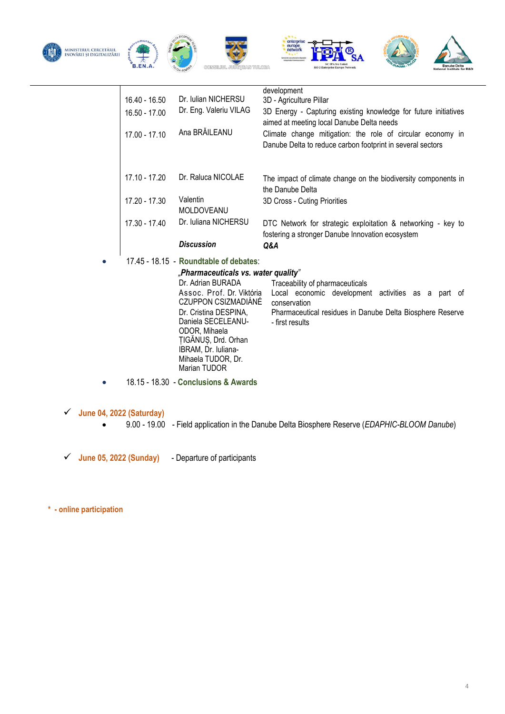









|           | 16.40 - 16.50<br>16.50 - 17.00<br>17.00 - 17.10 | Dr. Iulian NICHERSU<br>Dr. Eng. Valeriu VILAG<br>Ana BRĂILEANU                                                                                                                                                                                                                                                                                     | development<br>3D - Agriculture Pillar<br>3D Energy - Capturing existing knowledge for future initiatives<br>aimed at meeting local Danube Delta needs<br>Climate change mitigation: the role of circular economy in<br>Danube Delta to reduce carbon footprint in several sectors |
|-----------|-------------------------------------------------|----------------------------------------------------------------------------------------------------------------------------------------------------------------------------------------------------------------------------------------------------------------------------------------------------------------------------------------------------|------------------------------------------------------------------------------------------------------------------------------------------------------------------------------------------------------------------------------------------------------------------------------------|
|           | 17.10 - 17.20                                   | Dr. Raluca NICOLAE                                                                                                                                                                                                                                                                                                                                 | The impact of climate change on the biodiversity components in<br>the Danube Delta                                                                                                                                                                                                 |
|           | 17.20 - 17.30                                   | Valentin<br>MOLDOVEANU                                                                                                                                                                                                                                                                                                                             | 3D Cross - Cuting Priorities                                                                                                                                                                                                                                                       |
|           | 17.30 - 17.40                                   | Dr. Iuliana NICHERSU<br><b>Discussion</b>                                                                                                                                                                                                                                                                                                          | DTC Network for strategic exploitation & networking - key to<br>fostering a stronger Danube Innovation ecosystem<br>Q&A                                                                                                                                                            |
|           |                                                 | 17.45 - 18.15 - Roundtable of debates:<br>"Pharmaceuticals vs. water quality"<br>Dr. Adrian BURADA<br>Assoc. Prof. Dr. Viktória<br>CZUPPON CSIZMADIANÉ<br>Dr. Cristina DESPINA,<br>Daniela SECELEANU-<br>ODOR, Mihaela<br>TIGĂNUȘ, Drd. Orhan<br>IBRAM, Dr. Iuliana-<br>Mihaela TUDOR, Dr.<br>Marian TUDOR<br>18.15 - 18.30 - Conclusions & Awards | Traceability of pharmaceuticals<br>Local economic development activities as a part of<br>conservation<br>Pharmaceutical residues in Danube Delta Biosphere Reserve<br>- first results                                                                                              |
| $\bullet$ |                                                 |                                                                                                                                                                                                                                                                                                                                                    |                                                                                                                                                                                                                                                                                    |
|           | <b>June 04, 2022 (Saturday)</b>                 |                                                                                                                                                                                                                                                                                                                                                    |                                                                                                                                                                                                                                                                                    |

9.00 - 19.00 - Field application in the Danube Delta Biosphere Reserve (*EDAPHIC-BLOOM Danube*)

**June 05, 2022 (Sunday)** - Departure of participants

**\* - online participation**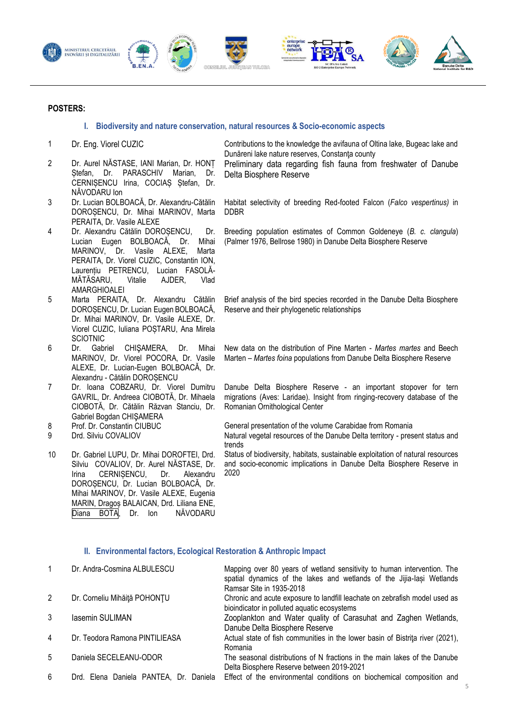





#### **POSTERS:**

#### **I. Biodiversity and nature conservation, natural resources & Socio-economic aspects**

- 
- 2 Dr. Aurel NĂSTASE, IANI Marian, Dr. HONȚ Stefan, Dr. PARASCHIV Marian, Dr. CERNISENCU Irina, COCIAS Stefan, Dr. NĂVODARU Ion
- 3 Dr. Lucian BOLBOACĂ, Dr. Alexandru-Cătălin DOROȘENCU, Dr. Mihai MARINOV, Marta PERAITA, Dr. Vasile ALEXE
- 4 Dr. Alexandru Cătălin DOROȘENCU, Dr. Lucian Eugen BOLBOACĂ, Dr. Mihai MARINOV, Dr. Vasile ALEXE, Marta PERAITA, Dr. Viorel CUZIC, Constantin ION, Laurențiu PETRENCU, Lucian FASOLĂ-<br>MĂTĂSARU, Vitalie AJDER, Vlad MĂTĂSARU, Vitalie AJDER, Vlad AMARGHIOALEI
- 5 Marta PERAITA, Dr. Alexandru Cătălin DOROȘENCU, Dr. Lucian Eugen BOLBOACĂ, Dr. Mihai MARINOV, Dr. Vasile ALEXE, Dr. Viorel CUZIC, Iuliana POȘTARU, Ana Mirela SCIOTNIC<br>Dr. Gabriel
- 6 Dr. Gabriel CHISAMERA, Dr. Mihai MARINOV, Dr. Viorel POCORA, Dr. Vasile ALEXE, Dr. Lucian-Eugen BOLBOACĂ, Dr. Alexandru - Cătălin DOROȘENCU
- 7 Dr. Ioana COBZARU, Dr. Viorel Dumitru GAVRIL, Dr. Andreea CIOBOTĂ, Dr. Mihaela CIOBOTĂ, Dr. Cătălin Răzvan Stanciu, Dr. Gabriel Bogdan CHISAMERA
- 
- 
- 10 Dr. Gabriel LUPU, Dr. Mihai DOROFTEI, Drd. Silviu COVALIOV, Dr. Aurel NĂSTASE, Dr. Irina CERNIȘENCU, Dr. Alexandru DOROȘENCU, Dr. Lucian BOLBOACĂ, Dr. Mihai MARINOV, Dr. Vasile ALEXE, Eugenia MARIN, Dragoș BALAICAN, Drd. Liliana ENE, Diana BOTA, Dr. Ion NĂVODARU

1 Dr. Eng. Viorel CUZIC Contributions to the knowledge the avifauna of Oltina lake, Bugeac lake and Dunăreni lake nature reserves, Constanta county

Preliminary data regarding fish fauna from freshwater of Danube Delta Biosphere Reserve

Habitat selectivity of breeding Red-footed Falcon (*Falco vespertinus)* in DDBR

Breeding population estimates of Common Goldeneye (*B. c. clangula*) (Palmer 1976, Bellrose 1980) in Danube Delta Biosphere Reserve

Brief analysis of the bird species recorded in the Danube Delta Biosphere Reserve and their phylogenetic relationships

New data on the distribution of Pine Marten - *Martes martes* and Beech Marten – *Martes foina* populations from Danube Delta Biosphere Reserve

Danube Delta Biosphere Reserve - an important stopover for tern migrations (Aves: Laridae). Insight from ringing-recovery database of the Romanian Ornithological Center

8 Prof. Dr. Constantin CIUBUC General presentation of the volume Carabidae from Romania 9 Drd. Silviu COVALIOV Natural vegetal resources of the Danube Delta territory - present status and trends

> Status of biodiversity, habitats, sustainable exploitation of natural resources and socio-economic implications in Danube Delta Biosphere Reserve in 2020

#### **II. Environmental factors, Ecological Restoration & Anthropic Impact**

| $\mathbf{1}$ | Dr. Andra-Cosmina ALBULESCU            | Mapping over 80 years of wetland sensitivity to human intervention. The<br>spatial dynamics of the lakes and wetlands of the Jijia-lasi Wetlands<br>Ramsar Site in 1935-2018 |
|--------------|----------------------------------------|------------------------------------------------------------------------------------------------------------------------------------------------------------------------------|
| 2            | Dr. Corneliu Mihăiță POHONȚU           | Chronic and acute exposure to landfill leachate on zebrafish model used as<br>bioindicator in polluted aquatic ecosystems                                                    |
| 3            | lasemin SULIMAN                        | Zooplankton and Water quality of Carasuhat and Zaghen Wetlands,<br>Danube Delta Biosphere Reserve                                                                            |
| 4            | Dr. Teodora Ramona PINTILIEASA         | Actual state of fish communities in the lower basin of Bistrita river (2021),<br>Romania                                                                                     |
| 5            | Daniela SECELEANU-ODOR                 | The seasonal distributions of N fractions in the main lakes of the Danube<br>Delta Biosphere Reserve between 2019-2021                                                       |
| 6            | Drd. Elena Daniela PANTEA, Dr. Daniela | Effect of the environmental conditions on biochemical composition and                                                                                                        |